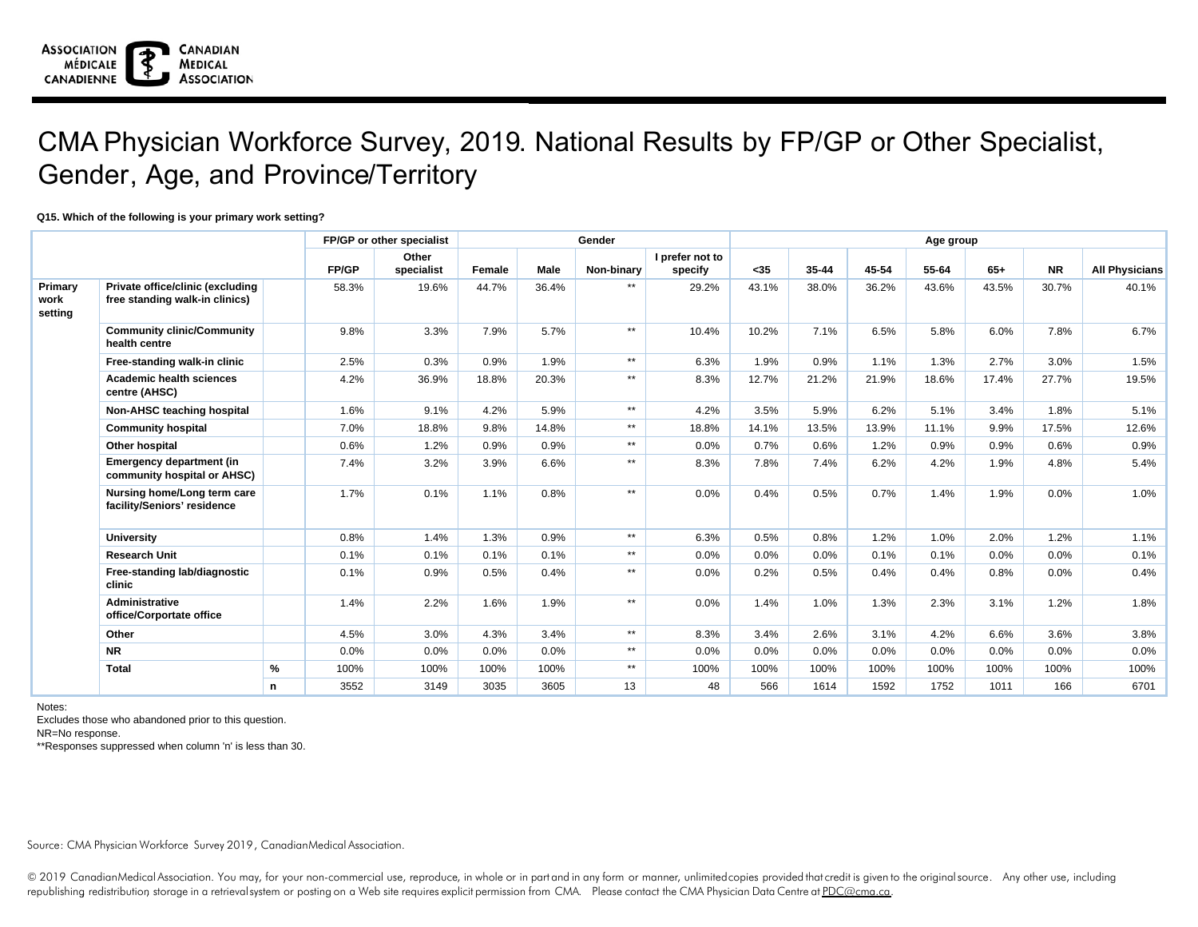## CMA Physician Workforce Survey, 2019. National Results by FP/GP or Other Specialist, Gender, Age, and Province/Territory

## **Q15. Which of the following is your primary work setting?**

|                 |                                                                |      |              | FP/GP or other specialist |        |       | Gender       | Age group       |         |           |           |       |       |           |                       |
|-----------------|----------------------------------------------------------------|------|--------------|---------------------------|--------|-------|--------------|-----------------|---------|-----------|-----------|-------|-------|-----------|-----------------------|
|                 |                                                                |      |              | Other                     |        |       |              | I prefer not to |         |           |           |       |       |           |                       |
|                 |                                                                |      | <b>FP/GP</b> | specialist                | Female | Male  | Non-binary   | specify         | $35$    | $35 - 44$ | $45 - 54$ | 55-64 | $65+$ | <b>NR</b> | <b>All Physicians</b> |
| Primary         | Private office/clinic (excluding                               |      | 58.3%        | 19.6%                     | 44.7%  | 36.4% | $***$        | 29.2%           | 43.1%   | 38.0%     | 36.2%     | 43.6% | 43.5% | 30.7%     | 40.1%                 |
| work<br>setting | free standing walk-in clinics)                                 |      |              |                           |        |       |              |                 |         |           |           |       |       |           |                       |
|                 | <b>Community clinic/Community</b><br>health centre             |      | 9.8%         | 3.3%                      | 7.9%   | 5.7%  | $***$        | 10.4%           | 10.2%   | 7.1%      | 6.5%      | 5.8%  | 6.0%  | 7.8%      | 6.7%                  |
|                 | Free-standing walk-in clinic                                   |      | 2.5%         | 0.3%                      | 0.9%   | 1.9%  | $**$         | 6.3%            | 1.9%    | 0.9%      | 1.1%      | 1.3%  | 2.7%  | 3.0%      | 1.5%                  |
|                 | <b>Academic health sciences</b><br>centre (AHSC)               |      | 4.2%         | 36.9%                     | 18.8%  | 20.3% | $**$         | 8.3%            | 12.7%   | 21.2%     | 21.9%     | 18.6% | 17.4% | 27.7%     | 19.5%                 |
|                 | Non-AHSC teaching hospital                                     |      | 1.6%         | 9.1%                      | 4.2%   | 5.9%  | $***$        | 4.2%            | 3.5%    | 5.9%      | 6.2%      | 5.1%  | 3.4%  | 1.8%      | 5.1%                  |
|                 | <b>Community hospital</b>                                      |      | 7.0%         | 18.8%                     | 9.8%   | 14.8% | $\star\star$ | 18.8%           | 14.1%   | 13.5%     | 13.9%     | 11.1% | 9.9%  | 17.5%     | 12.6%                 |
|                 | Other hospital                                                 |      | 0.6%         | 1.2%                      | 0.9%   | 0.9%  | $**$         | 0.0%            | 0.7%    | 0.6%      | 1.2%      | 0.9%  | 0.9%  | 0.6%      | 0.9%                  |
|                 | <b>Emergency department (in</b><br>community hospital or AHSC) |      | 7.4%         | 3.2%                      | 3.9%   | 6.6%  | $\star\star$ | 8.3%            | 7.8%    | 7.4%      | 6.2%      | 4.2%  | 1.9%  | 4.8%      | 5.4%                  |
|                 | Nursing home/Long term care<br>facility/Seniors' residence     |      | 1.7%         | 0.1%                      | 1.1%   | 0.8%  | $**$         | 0.0%            | 0.4%    | 0.5%      | 0.7%      | 1.4%  | 1.9%  | 0.0%      | 1.0%                  |
|                 | <b>University</b>                                              |      | 0.8%         | 1.4%                      | 1.3%   | 0.9%  | $**$         | 6.3%            | 0.5%    | 0.8%      | 1.2%      | 1.0%  | 2.0%  | 1.2%      | 1.1%                  |
|                 | <b>Research Unit</b>                                           |      | 0.1%         | 0.1%                      | 0.1%   | 0.1%  | $**$         | 0.0%            | $0.0\%$ | 0.0%      | 0.1%      | 0.1%  | 0.0%  | $0.0\%$   | 0.1%                  |
|                 | Free-standing lab/diagnostic<br>clinic                         |      | 0.1%         | 0.9%                      | 0.5%   | 0.4%  | $***$        | 0.0%            | 0.2%    | 0.5%      | 0.4%      | 0.4%  | 0.8%  | 0.0%      | 0.4%                  |
|                 | <b>Administrative</b><br>office/Corportate office              |      | 1.4%         | 2.2%                      | 1.6%   | 1.9%  | $\star\star$ | 0.0%            | 1.4%    | 1.0%      | 1.3%      | 2.3%  | 3.1%  | 1.2%      | 1.8%                  |
|                 | Other                                                          |      | 4.5%         | 3.0%                      | 4.3%   | 3.4%  | $***$        | 8.3%            | 3.4%    | 2.6%      | 3.1%      | 4.2%  | 6.6%  | 3.6%      | 3.8%                  |
|                 | <b>NR</b>                                                      |      | 0.0%         | 0.0%                      | 0.0%   | 0.0%  | $***$        | 0.0%            | 0.0%    | 0.0%      | 0.0%      | 0.0%  | 0.0%  | 0.0%      | $0.0\%$               |
|                 | <b>Total</b>                                                   | $\%$ | 100%         | 100%                      | 100%   | 100%  | $**$         | 100%            | 100%    | 100%      | 100%      | 100%  | 100%  | 100%      | 100%                  |
|                 |                                                                | n    | 3552         | 3149                      | 3035   | 3605  | 13           | 48              | 566     | 1614      | 1592      | 1752  | 1011  | 166       | 6701                  |

Notes:

Excludes those who abandoned prior to this question.

NR=No response.

\*\*Responses suppressed when column 'n' is less than 30.

Source: CMA Physician Workforce Survey 2019, CanadianMedical Association.

© 2019 CanadianMedical Association. You may, for your non-commercial use, reproduce, in whole or in part and in any form or manner, unlimited copies provided that credit is given to the original source. Any other use, incl republishing redistribution storage in a retrievalsystem or posting on a Web site requires explicit permission from CMA. Please contact the CMA Physician Data Centre at PDC@cma.ca.